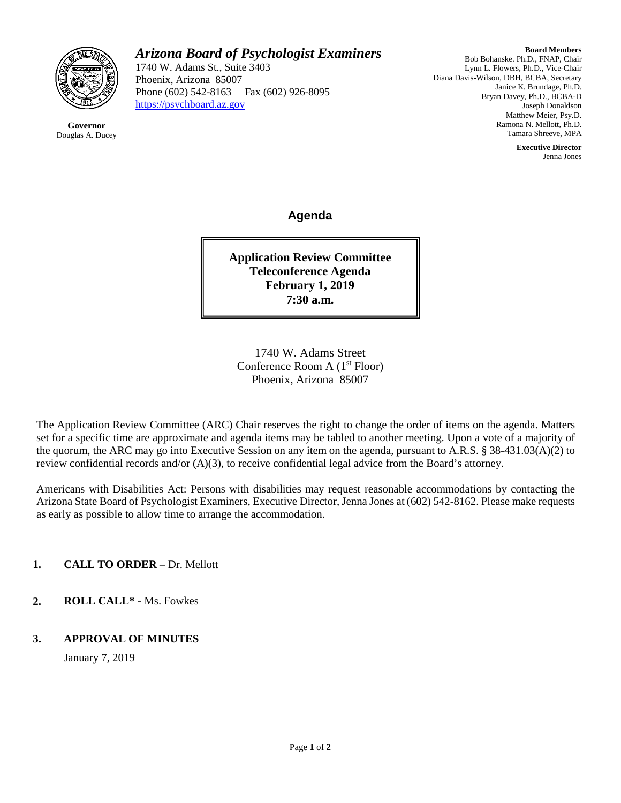

**Governor** Douglas A. Ducey

# *Arizona Board of Psychologist Examiners*

1740 W. Adams St., Suite 3403 Phoenix, Arizona 85007 Phone (602) 542-8163 Fax (602) 926-8095 [https://psychboard.az.gov](https://psychboard.az.gov/) 

**Board Members** Bob Bohanske. Ph.D., FNAP, Chair Lynn L. Flowers, Ph.D., Vice-Chair Diana Davis-Wilson, DBH, BCBA, Secretary Janice K. Brundage, Ph.D. Bryan Davey, Ph.D., BCBA-D Joseph Donaldson Matthew Meier, Psy.D. Ramona N. Mellott, Ph.D. Tamara Shreeve, MPA

> **Executive Director** Jenna Jones

**Agenda**

**Application Review Committee Teleconference Agenda February 1, 2019 7:30 a.m.**

1740 W. Adams Street Conference Room A  $(1<sup>st</sup> Floor)$ Phoenix, Arizona 85007

The Application Review Committee (ARC) Chair reserves the right to change the order of items on the agenda. Matters set for a specific time are approximate and agenda items may be tabled to another meeting. Upon a vote of a majority of the quorum, the ARC may go into Executive Session on any item on the agenda, pursuant to A.R.S. § 38-431.03(A)(2) to review confidential records and/or (A)(3), to receive confidential legal advice from the Board's attorney.

Americans with Disabilities Act: Persons with disabilities may request reasonable accommodations by contacting the Arizona State Board of Psychologist Examiners, Executive Director, Jenna Jones at (602) 542-8162. Please make requests as early as possible to allow time to arrange the accommodation.

**1. CALL TO ORDER** – Dr. Mellott

**2. ROLL CALL\* -** Ms. Fowkes

#### **3. APPROVAL OF MINUTES**

January 7, 2019